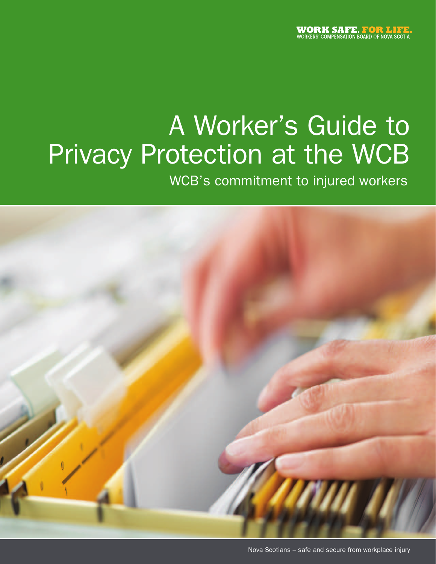# A Worker's Guide to Privacy Protection at the WCB

WCB's commitment to injured workers

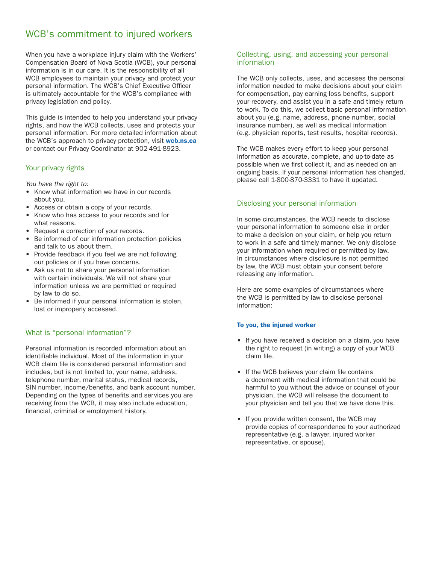### WCB's commitment to injured workers

When you have a workplace injury claim with the Workers' Compensation Board of Nova Scotia (WCB), your personal information is in our care. It is the responsibility of all WCB employees to maintain your privacy and protect your personal information. The WCB's Chief Executive Officer is ultimately accountable for the WCB's compliance with privacy legislation and policy.

This guide is intended to help you understand your privacy rights, and how the WCB collects, uses and protects your personal information. For more detailed information about the WCB's approach to privacy protection, visit **wcb.ns.ca** or contact our Privacy Coordinator at 902-491-8923.

#### Your privacy rights

*You have the right to:*

- Know what information we have in our records about you.
- Access or obtain a copy of your records.
- Know who has access to your records and for what reasons.
- Request a correction of your records.
- Be informed of our information protection policies and talk to us about them.
- Provide feedback if you feel we are not following our policies or if you have concerns.
- Ask us not to share your personal information with certain individuals. We will not share your information unless we are permitted or required by law to do so.
- Be informed if your personal information is stolen, lost or improperly accessed.

#### What is "personal information"?

Personal information is recorded information about an identifiable individual. Most of the information in your WCB claim file is considered personal information and includes, but is not limited to, your name, address, telephone number, marital status, medical records, SIN number, income/benefits, and bank account number. Depending on the types of benefits and services you are receiving from the WCB, it may also include education, financial, criminal or employment history.

#### Collecting, using, and accessing your personal information

The WCB only collects, uses, and accesses the personal information needed to make decisions about your claim for compensation, pay earning loss benefits, support your recovery, and assist you in a safe and timely return to work. To do this, we collect basic personal information about you (e.g. name, address, phone number, social insurance number), as well as medical information (e.g. physician reports, test results, hospital records).

The WCB makes every effort to keep your personal information as accurate, complete, and up-to-date as possible when we first collect it, and as needed on an ongoing basis. If your personal information has changed, please call 1-800-870-3331 to have it updated.

#### Disclosing your personal information

In some circumstances, the WCB needs to disclose your personal information to someone else in order to make a decision on your claim, or help you return to work in a safe and timely manner. We only disclose your information when required or permitted by law. In circumstances where disclosure is not permitted by law, the WCB must obtain your consent before releasing any information.

Here are some examples of circumstances where the WCB is permitted by law to disclose personal information:

#### To you, the injured worker

- If you have received a decision on a claim, you have the right to request (in writing) a copy of your WCB claim file.
- • If the WCB believes your claim file contains a document with medical information that could be harmful to you without the advice or counsel of your physician, the WCB will release the document to your physician and tell you that we have done this.
- If you provide written consent, the WCB may provide copies of correspondence to your authorized representative (e.g. a lawyer, injured worker representative, or spouse).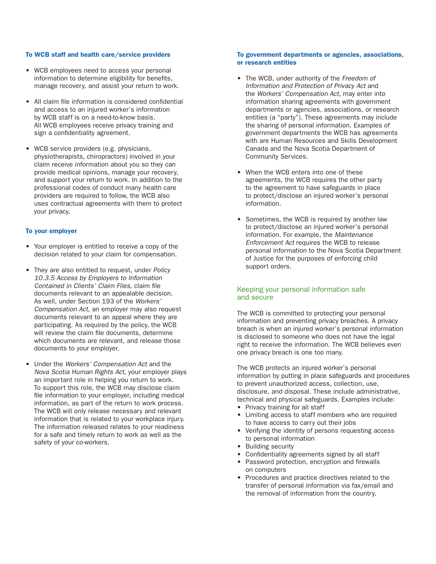#### To WCB staff and health care/service providers

- • WCB employees need to access your personal information to determine eligibility for benefits, manage recovery, and assist your return to work.
- All claim file information is considered confidential and access to an injured worker's information by WCB staff is on a need-to-know basis. All WCB employees receive privacy training and sign a confidentiality agreement.
- WCB service providers (e.g. physicians, physiotherapists, chiropractors) involved in your claim receive information about you so they can provide medical opinions, manage your recovery, and support your return to work. In addition to the professional codes of conduct many health care providers are required to follow, the WCB also uses contractual agreements with them to protect your privacy.

#### To your employer

- Your employer is entitled to receive a copy of the decision related to your claim for compensation.
- • They are also entitled to request, under *Policy 10.3.5 Access by Employers to Information Contained in Clients' Claim Files*, claim file documents relevant to an appealable decision. As well, under Section 193 of the *Workers' Compensation Act*, an employer may also request documents relevant to an appeal where they are participating. As required by the policy, the WCB will review the claim file documents, determine which documents are relevant, and release those documents to your employer.
- • Under the *Workers' Compensation Act* and the *Nova Scotia Human Rights Act*, your employer plays an important role in helping you return to work. To support this role, the WCB may disclose claim file information to your employer, including medical information, as part of the return to work process. The WCB will only release necessary and relevant information that is related to your workplace injury. The information released relates to your readiness for a safe and timely return to work as well as the safety of your co-workers.

#### To government departments or agencies, associations, or research entities

- • The WCB, under authority of the *Freedom of Information and Protection of Privacy Act* and the *Workers' Compensation Act*, may enter into information sharing agreements with government departments or agencies, associations, or research entities (a "party"). These agreements may include the sharing of personal information. Examples of government departments the WCB has agreements with are Human Resources and Skills Development Canada and the Nova Scotia Department of Community Services.
- When the WCB enters into one of these agreements, the WCB requires the other party to the agreement to have safeguards in place to protect/disclose an injured worker's personal information.
- Sometimes, the WCB is required by another law to protect/disclose an injured worker's personal information. For example, the *Maintenance Enforcement Act* requires the WCB to release personal information to the Nova Scotia Department of Justice for the purposes of enforcing child support orders.

#### Keeping your personal information safe and secure

The WCB is committed to protecting your personal information and preventing privacy breaches. A privacy breach is when an injured worker's personal information is disclosed to someone who does not have the legal right to receive the information. The WCB believes even one privacy breach is one too many.

The WCB protects an injured worker's personal information by putting in place safeguards and procedures to prevent unauthorized access, collection, use, disclosure, and disposal. These include administrative, technical and physical safeguards. Examples include:

- Privacy training for all staff
- • Limiting access to staff members who are required to have access to carry out their jobs
- Verifying the identity of persons requesting access to personal information
- Building security
- Confidentiality agreements signed by all staff • Password protection, encryption and firewalls
- on computers
- Procedures and practice directives related to the transfer of personal information via fax/email and the removal of information from the country.